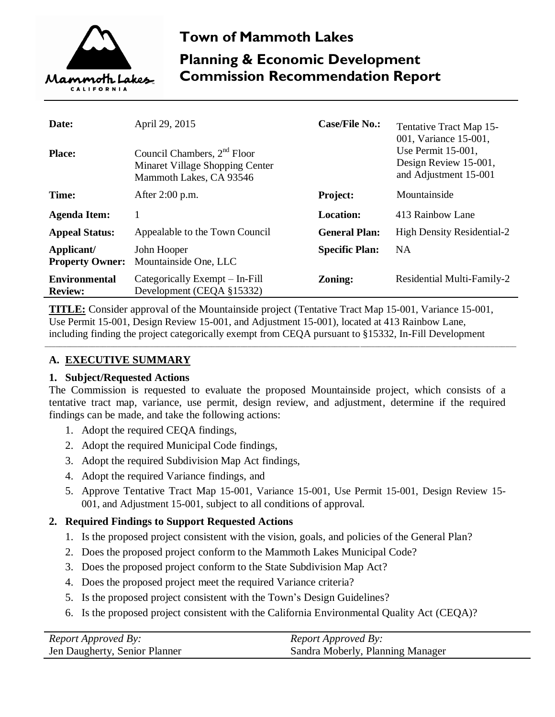

# **Town of Mammoth Lakes Planning & Economic Development Commission Recommendation Report**

| Date:<br><b>Place:</b>                 | April 29, 2015<br>Council Chambers, 2 <sup>nd</sup> Floor<br>Minaret Village Shopping Center<br>Mammoth Lakes, CA 93546 | <b>Case/File No.:</b> | Tentative Tract Map 15-<br>001, Variance 15-001,<br>Use Permit $15-001$ ,<br>Design Review 15-001,<br>and Adjustment 15-001 |
|----------------------------------------|-------------------------------------------------------------------------------------------------------------------------|-----------------------|-----------------------------------------------------------------------------------------------------------------------------|
| Time:                                  | After 2:00 p.m.                                                                                                         | <b>Project:</b>       | Mountainside                                                                                                                |
| <b>Agenda Item:</b>                    |                                                                                                                         | <b>Location:</b>      | 413 Rainbow Lane                                                                                                            |
| <b>Appeal Status:</b>                  | Appealable to the Town Council                                                                                          | <b>General Plan:</b>  | <b>High Density Residential-2</b>                                                                                           |
| Applicant/<br><b>Property Owner:</b>   | John Hooper<br>Mountainside One, LLC                                                                                    | <b>Specific Plan:</b> | <b>NA</b>                                                                                                                   |
| <b>Environmental</b><br><b>Review:</b> | Categorically Exempt – In-Fill<br>Development (CEQA §15332)                                                             | <b>Zoning:</b>        | Residential Multi-Family-2                                                                                                  |

**TITLE:** Consider approval of the Mountainside project (Tentative Tract Map 15-001, Variance 15-001, Use Permit 15-001, Design Review 15-001, and Adjustment 15-001), located at 413 Rainbow Lane, including finding the project categorically exempt from CEQA pursuant to §15332, In-Fill Development

\_\_\_\_\_\_\_\_\_\_\_\_\_\_\_\_\_\_\_\_\_\_\_\_\_\_\_\_\_\_\_\_\_\_\_\_\_\_\_\_\_\_\_\_\_\_\_\_\_\_\_\_\_\_\_\_\_\_\_\_\_\_\_\_\_\_\_\_\_\_\_\_\_\_\_\_\_\_\_\_\_\_\_\_\_\_\_\_\_\_\_\_\_\_\_\_\_\_\_\_\_\_\_\_\_\_\_\_\_\_\_\_\_\_\_\_\_\_\_\_\_\_\_\_\_\_\_\_\_\_

# **A. EXECUTIVE SUMMARY**

# **1. Subject/Requested Actions**

The Commission is requested to evaluate the proposed Mountainside project, which consists of a tentative tract map, variance, use permit, design review, and adjustment, determine if the required findings can be made, and take the following actions:

- 1. Adopt the required CEQA findings,
- 2. Adopt the required Municipal Code findings,
- 3. Adopt the required Subdivision Map Act findings,
- 4. Adopt the required Variance findings, and
- 5. Approve Tentative Tract Map 15-001, Variance 15-001, Use Permit 15-001, Design Review 15- 001, and Adjustment 15-001, subject to all conditions of approval.

# **2. Required Findings to Support Requested Actions**

- 1. Is the proposed project consistent with the vision, goals, and policies of the General Plan?
- 2. Does the proposed project conform to the Mammoth Lakes Municipal Code?
- 3. Does the proposed project conform to the State Subdivision Map Act?
- 4. Does the proposed project meet the required Variance criteria?
- 5. Is the proposed project consistent with the Town's Design Guidelines?
- 6. Is the proposed project consistent with the California Environmental Quality Act (CEQA)?

| <b>Report Approved By:</b>    | <i>Report Approved By:</i>       |
|-------------------------------|----------------------------------|
| Jen Daugherty, Senior Planner | Sandra Moberly, Planning Manager |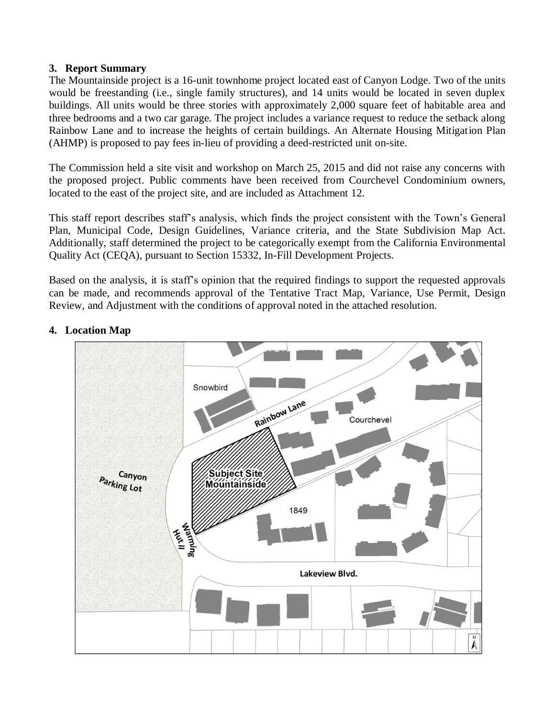#### **3. Report Summary**

The Mountainside project is a 16-unit townhome project located east of Canyon Lodge. Two of the units would be freestanding (i.e., single family structures), and 14 units would be located in seven duplex buildings. All units would be three stories with approximately 2,000 square feet of habitable area and three bedrooms and a two car garage. The project includes a variance request to reduce the setback along Rainbow Lane and to increase the heights of certain buildings. An Alternate Housing Mitigation Plan (AHMP) is proposed to pay fees in-lieu of providing a deed-restricted unit on-site.

The Commission held a site visit and workshop on March 25, 2015 and did not raise any concerns with the proposed project. Public comments have been received from Courchevel Condominium owners, located to the east of the project site, and are included as Attachment 12.

This staff report describes staff's analysis, which finds the project consistent with the Town's General Plan, Municipal Code, Design Guidelines, Variance criteria, and the State Subdivision Map Act. Additionally, staff determined the project to be categorically exempt from the California Environmental Quality Act (CEQA), pursuant to Section 15332, In-Fill Development Projects.

Based on the analysis, it is staff's opinion that the required findings to support the requested approvals can be made, and recommends approval of the Tentative Tract Map, Variance, Use Permit, Design Review, and Adjustment with the conditions of approval noted in the attached resolution.



# **4. Location Map**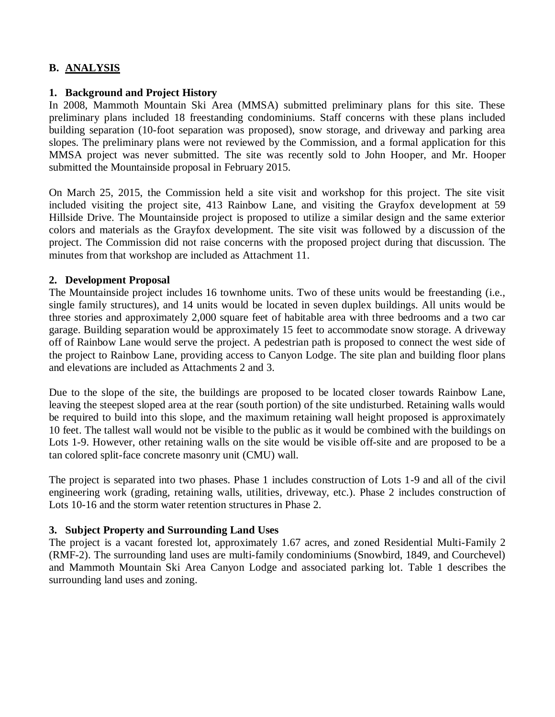# **B. ANALYSIS**

#### **1. Background and Project History**

In 2008, Mammoth Mountain Ski Area (MMSA) submitted preliminary plans for this site. These preliminary plans included 18 freestanding condominiums. Staff concerns with these plans included building separation (10-foot separation was proposed), snow storage, and driveway and parking area slopes. The preliminary plans were not reviewed by the Commission, and a formal application for this MMSA project was never submitted. The site was recently sold to John Hooper, and Mr. Hooper submitted the Mountainside proposal in February 2015.

On March 25, 2015, the Commission held a site visit and workshop for this project. The site visit included visiting the project site, 413 Rainbow Lane, and visiting the Grayfox development at 59 Hillside Drive. The Mountainside project is proposed to utilize a similar design and the same exterior colors and materials as the Grayfox development. The site visit was followed by a discussion of the project. The Commission did not raise concerns with the proposed project during that discussion. The minutes from that workshop are included as Attachment 11.

#### **2. Development Proposal**

The Mountainside project includes 16 townhome units. Two of these units would be freestanding (i.e., single family structures), and 14 units would be located in seven duplex buildings. All units would be three stories and approximately 2,000 square feet of habitable area with three bedrooms and a two car garage. Building separation would be approximately 15 feet to accommodate snow storage. A driveway off of Rainbow Lane would serve the project. A pedestrian path is proposed to connect the west side of the project to Rainbow Lane, providing access to Canyon Lodge. The site plan and building floor plans and elevations are included as Attachments 2 and 3.

Due to the slope of the site, the buildings are proposed to be located closer towards Rainbow Lane, leaving the steepest sloped area at the rear (south portion) of the site undisturbed. Retaining walls would be required to build into this slope, and the maximum retaining wall height proposed is approximately 10 feet. The tallest wall would not be visible to the public as it would be combined with the buildings on Lots 1-9. However, other retaining walls on the site would be visible off-site and are proposed to be a tan colored split-face concrete masonry unit (CMU) wall.

The project is separated into two phases. Phase 1 includes construction of Lots 1-9 and all of the civil engineering work (grading, retaining walls, utilities, driveway, etc.). Phase 2 includes construction of Lots 10-16 and the storm water retention structures in Phase 2.

# **3. Subject Property and Surrounding Land Uses**

The project is a vacant forested lot, approximately 1.67 acres, and zoned Residential Multi-Family 2 (RMF-2). The surrounding land uses are multi-family condominiums (Snowbird, 1849, and Courchevel) and Mammoth Mountain Ski Area Canyon Lodge and associated parking lot. Table 1 describes the surrounding land uses and zoning.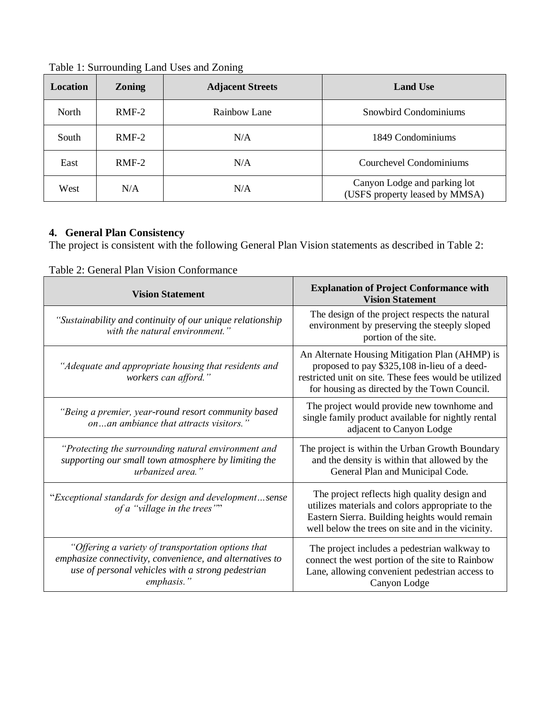| Location | <b>Zoning</b> | <b>Adjacent Streets</b> | <b>Land Use</b>                                                |
|----------|---------------|-------------------------|----------------------------------------------------------------|
| North    | $RMF-2$       | Rainbow Lane            | Snowbird Condominiums                                          |
| South    | $RMF-2$       | N/A                     | 1849 Condominiums                                              |
| East     | $RMF-2$       | N/A                     | Courchevel Condominiums                                        |
| West     | N/A           | N/A                     | Canyon Lodge and parking lot<br>(USFS property leased by MMSA) |

Table 1: Surrounding Land Uses and Zoning

# **4. General Plan Consistency**

 $\mathbf l$ 

The project is consistent with the following General Plan Vision statements as described in Table 2:

| <b>Vision Statement</b>                                                                                                                                                           | <b>Explanation of Project Conformance with</b><br><b>Vision Statement</b>                                                                                                                               |  |
|-----------------------------------------------------------------------------------------------------------------------------------------------------------------------------------|---------------------------------------------------------------------------------------------------------------------------------------------------------------------------------------------------------|--|
| "Sustainability and continuity of our unique relationship<br>with the natural environment."                                                                                       | The design of the project respects the natural<br>environment by preserving the steeply sloped<br>portion of the site.                                                                                  |  |
| "Adequate and appropriate housing that residents and<br>workers can afford."                                                                                                      | An Alternate Housing Mitigation Plan (AHMP) is<br>proposed to pay \$325,108 in-lieu of a deed-<br>restricted unit on site. These fees would be utilized<br>for housing as directed by the Town Council. |  |
| "Being a premier, year-round resort community based<br>onan ambiance that attracts visitors."                                                                                     | The project would provide new townhome and<br>single family product available for nightly rental<br>adjacent to Canyon Lodge                                                                            |  |
| "Protecting the surrounding natural environment and<br>supporting our small town atmosphere by limiting the<br>urbanized area."                                                   | The project is within the Urban Growth Boundary<br>and the density is within that allowed by the<br>General Plan and Municipal Code.                                                                    |  |
| "Exceptional standards for design and developmentsense<br>of a "village in the trees""                                                                                            | The project reflects high quality design and<br>utilizes materials and colors appropriate to the<br>Eastern Sierra. Building heights would remain<br>well below the trees on site and in the vicinity.  |  |
| "Offering a variety of transportation options that<br>emphasize connectivity, convenience, and alternatives to<br>use of personal vehicles with a strong pedestrian<br>emphasis." | The project includes a pedestrian walkway to<br>connect the west portion of the site to Rainbow<br>Lane, allowing convenient pedestrian access to<br>Canyon Lodge                                       |  |

Table 2: General Plan Vision Conformance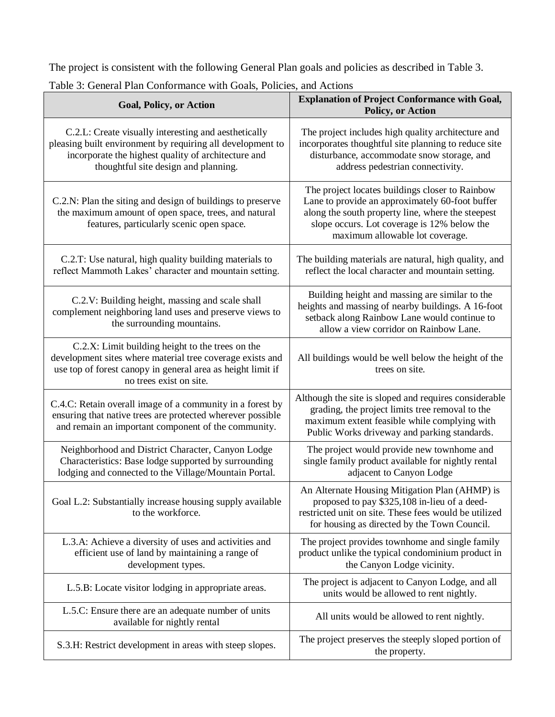The project is consistent with the following General Plan goals and policies as described in Table 3.

| <b>Goal, Policy, or Action</b>                                                                                                                                                                                    | <b>Explanation of Project Conformance with Goal,</b><br>Policy, or Action                                                                                                                                                                 |  |  |
|-------------------------------------------------------------------------------------------------------------------------------------------------------------------------------------------------------------------|-------------------------------------------------------------------------------------------------------------------------------------------------------------------------------------------------------------------------------------------|--|--|
| C.2.L: Create visually interesting and aesthetically<br>pleasing built environment by requiring all development to<br>incorporate the highest quality of architecture and<br>thoughtful site design and planning. | The project includes high quality architecture and<br>incorporates thoughtful site planning to reduce site<br>disturbance, accommodate snow storage, and<br>address pedestrian connectivity.                                              |  |  |
| C.2.N: Plan the siting and design of buildings to preserve<br>the maximum amount of open space, trees, and natural<br>features, particularly scenic open space.                                                   | The project locates buildings closer to Rainbow<br>Lane to provide an approximately 60-foot buffer<br>along the south property line, where the steepest<br>slope occurs. Lot coverage is 12% below the<br>maximum allowable lot coverage. |  |  |
| C.2.T: Use natural, high quality building materials to<br>reflect Mammoth Lakes' character and mountain setting.                                                                                                  | The building materials are natural, high quality, and<br>reflect the local character and mountain setting.                                                                                                                                |  |  |
| C.2.V: Building height, massing and scale shall<br>complement neighboring land uses and preserve views to<br>the surrounding mountains.                                                                           | Building height and massing are similar to the<br>heights and massing of nearby buildings. A 16-foot<br>setback along Rainbow Lane would continue to<br>allow a view corridor on Rainbow Lane.                                            |  |  |
| C.2.X: Limit building height to the trees on the<br>development sites where material tree coverage exists and<br>use top of forest canopy in general area as height limit if<br>no trees exist on site.           | All buildings would be well below the height of the<br>trees on site.                                                                                                                                                                     |  |  |
| C.4.C: Retain overall image of a community in a forest by<br>ensuring that native trees are protected wherever possible<br>and remain an important component of the community.                                    | Although the site is sloped and requires considerable<br>grading, the project limits tree removal to the<br>maximum extent feasible while complying with<br>Public Works driveway and parking standards.                                  |  |  |
| Neighborhood and District Character, Canyon Lodge<br>Characteristics: Base lodge supported by surrounding<br>lodging and connected to the Village/Mountain Portal.                                                | The project would provide new townhome and<br>single family product available for nightly rental<br>adjacent to Canyon Lodge                                                                                                              |  |  |
| Goal L.2: Substantially increase housing supply available<br>to the workforce.                                                                                                                                    | An Alternate Housing Mitigation Plan (AHMP) is<br>proposed to pay \$325,108 in-lieu of a deed-<br>restricted unit on site. These fees would be utilized<br>for housing as directed by the Town Council.                                   |  |  |
| L.3.A: Achieve a diversity of uses and activities and<br>efficient use of land by maintaining a range of<br>development types.                                                                                    | The project provides townhome and single family<br>product unlike the typical condominium product in<br>the Canyon Lodge vicinity.                                                                                                        |  |  |
| L.5.B: Locate visitor lodging in appropriate areas.                                                                                                                                                               | The project is adjacent to Canyon Lodge, and all<br>units would be allowed to rent nightly.                                                                                                                                               |  |  |
| L.5.C: Ensure there are an adequate number of units<br>available for nightly rental                                                                                                                               | All units would be allowed to rent nightly.                                                                                                                                                                                               |  |  |
| S.3.H: Restrict development in areas with steep slopes.                                                                                                                                                           | The project preserves the steeply sloped portion of<br>the property.                                                                                                                                                                      |  |  |

Table 3: General Plan Conformance with Goals, Policies, and Actions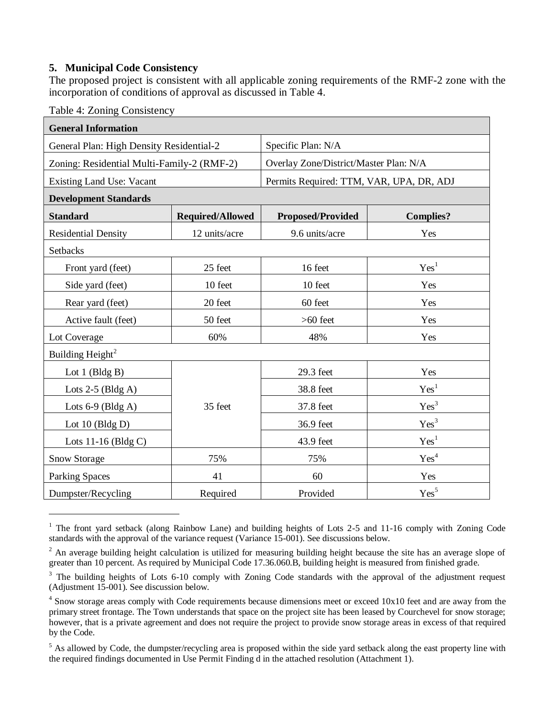#### **5. Municipal Code Consistency**

The proposed project is consistent with all applicable zoning requirements of the RMF-2 zone with the incorporation of conditions of approval as discussed in Table 4.

Table 4: Zoning Consistency

 $\overline{a}$ 

| <b>General Information</b>                 |                         |                                          |                  |  |
|--------------------------------------------|-------------------------|------------------------------------------|------------------|--|
| General Plan: High Density Residential-2   |                         | Specific Plan: N/A                       |                  |  |
| Zoning: Residential Multi-Family-2 (RMF-2) |                         | Overlay Zone/District/Master Plan: N/A   |                  |  |
| <b>Existing Land Use: Vacant</b>           |                         | Permits Required: TTM, VAR, UPA, DR, ADJ |                  |  |
| <b>Development Standards</b>               |                         |                                          |                  |  |
| <b>Standard</b>                            | <b>Required/Allowed</b> | <b>Proposed/Provided</b>                 | <b>Complies?</b> |  |
| <b>Residential Density</b>                 | 12 units/acre           | 9.6 units/acre                           | Yes              |  |
| Setbacks                                   |                         |                                          |                  |  |
| Front yard (feet)                          | 25 feet                 | 16 feet                                  | Yes <sup>1</sup> |  |
| Side yard (feet)                           | 10 feet                 | 10 feet                                  | Yes              |  |
| Rear yard (feet)                           | 20 feet                 | 60 feet                                  | Yes              |  |
| Active fault (feet)                        | 50 feet                 | $>60$ feet                               | Yes              |  |
| Lot Coverage                               | 60%                     | 48%                                      | Yes              |  |
| Building Height <sup>2</sup>               |                         |                                          |                  |  |
| Lot $1$ (Bldg B)                           |                         | 29.3 feet                                | Yes              |  |
| Lots $2-5$ (Bldg A)                        |                         | 38.8 feet                                | Yes <sup>1</sup> |  |
| Lots $6-9$ (Bldg A)                        | 35 feet                 | 37.8 feet                                | Yes <sup>3</sup> |  |
| Lot $10$ (Bldg D)                          |                         | 36.9 feet                                | Yes <sup>3</sup> |  |
| Lots 11-16 (Bldg C)                        |                         | 43.9 feet                                | Yes <sup>1</sup> |  |
| Snow Storage                               | 75%                     | 75%                                      | Yes <sup>4</sup> |  |
| <b>Parking Spaces</b>                      | 41                      | 60                                       | Yes              |  |
| Dumpster/Recycling                         | Required                | Provided                                 | Yes <sup>5</sup> |  |

<sup>&</sup>lt;sup>1</sup> The front yard setback (along Rainbow Lane) and building heights of Lots 2-5 and 11-16 comply with Zoning Code standards with the approval of the variance request (Variance 15-001). See discussions below.

<sup>&</sup>lt;sup>2</sup> An average building height calculation is utilized for measuring building height because the site has an average slope of greater than 10 percent. As required by Municipal Code 17.36.060.B, building height is measured from finished grade.

<sup>&</sup>lt;sup>3</sup> The building heights of Lots 6-10 comply with Zoning Code standards with the approval of the adjustment request (Adjustment 15-001). See discussion below.

<sup>&</sup>lt;sup>4</sup> Snow storage areas comply with Code requirements because dimensions meet or exceed 10x10 feet and are away from the primary street frontage. The Town understands that space on the project site has been leased by Courchevel for snow storage; however, that is a private agreement and does not require the project to provide snow storage areas in excess of that required by the Code.

<sup>&</sup>lt;sup>5</sup> As allowed by Code, the dumpster/recycling area is proposed within the side yard setback along the east property line with the required findings documented in Use Permit Finding d in the attached resolution (Attachment 1).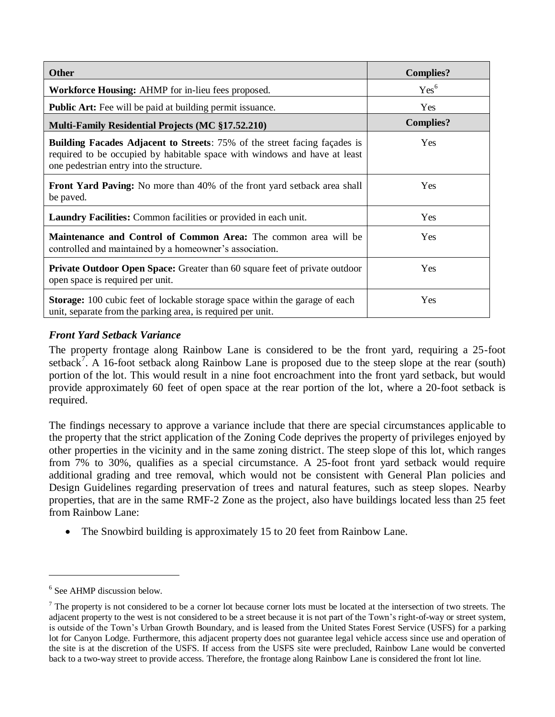| <b>Other</b>                                                                                                                                                                                              | <b>Complies?</b> |
|-----------------------------------------------------------------------------------------------------------------------------------------------------------------------------------------------------------|------------------|
| <b>Workforce Housing:</b> AHMP for in-lieu fees proposed.                                                                                                                                                 | Yes <sup>6</sup> |
| <b>Public Art:</b> Fee will be paid at building permit is suance.                                                                                                                                         | Yes              |
| <b>Multi-Family Residential Projects (MC §17.52.210)</b>                                                                                                                                                  | <b>Complies?</b> |
| <b>Building Facades Adjacent to Streets:</b> 75% of the street facing façades is<br>required to be occupied by habitable space with windows and have at least<br>one pedestrian entry into the structure. | <b>Yes</b>       |
| <b>Front Yard Paving:</b> No more than 40% of the front yard setback area shall<br>be paved.                                                                                                              | <b>Yes</b>       |
| <b>Laundry Facilities:</b> Common facilities or provided in each unit.                                                                                                                                    | Yes              |
| <b>Maintenance and Control of Common Area:</b> The common area will be<br>controlled and maintained by a homeowner's association.                                                                         | <b>Yes</b>       |
| <b>Private Outdoor Open Space:</b> Greater than 60 square feet of private outdoor<br>open space is required per unit.                                                                                     | <b>Yes</b>       |
| <b>Storage:</b> 100 cubic feet of lockable storage space within the garage of each<br>unit, separate from the parking area, is required per unit.                                                         | <b>Yes</b>       |

# *Front Yard Setback Variance*

The property frontage along Rainbow Lane is considered to be the front yard, requiring a 25-foot setback<sup>7</sup>. A 16-foot setback along Rainbow Lane is proposed due to the steep slope at the rear (south) portion of the lot. This would result in a nine foot encroachment into the front yard setback, but would provide approximately 60 feet of open space at the rear portion of the lot, where a 20-foot setback is required.

The findings necessary to approve a variance include that there are special circumstances applicable to the property that the strict application of the Zoning Code deprives the property of privileges enjoyed by other properties in the vicinity and in the same zoning district. The steep slope of this lot, which ranges from 7% to 30%, qualifies as a special circumstance. A 25-foot front yard setback would require additional grading and tree removal, which would not be consistent with General Plan policies and Design Guidelines regarding preservation of trees and natural features, such as steep slopes. Nearby properties, that are in the same RMF-2 Zone as the project, also have buildings located less than 25 feet from Rainbow Lane:

• The Snowbird building is approximately 15 to 20 feet from Rainbow Lane.

 $\overline{a}$ 

<sup>6</sup> See AHMP discussion below.

 $<sup>7</sup>$  The property is not considered to be a corner lot because corner lots must be located at the intersection of two streets. The</sup> adjacent property to the west is not considered to be a street because it is not part of the Town's right-of-way or street system, is outside of the Town's Urban Growth Boundary, and is leased from the United States Forest Service (USFS) for a parking lot for Canyon Lodge. Furthermore, this adjacent property does not guarantee legal vehicle access since use and operation of the site is at the discretion of the USFS. If access from the USFS site were precluded, Rainbow Lane would be converted back to a two-way street to provide access. Therefore, the frontage along Rainbow Lane is considered the front lot line.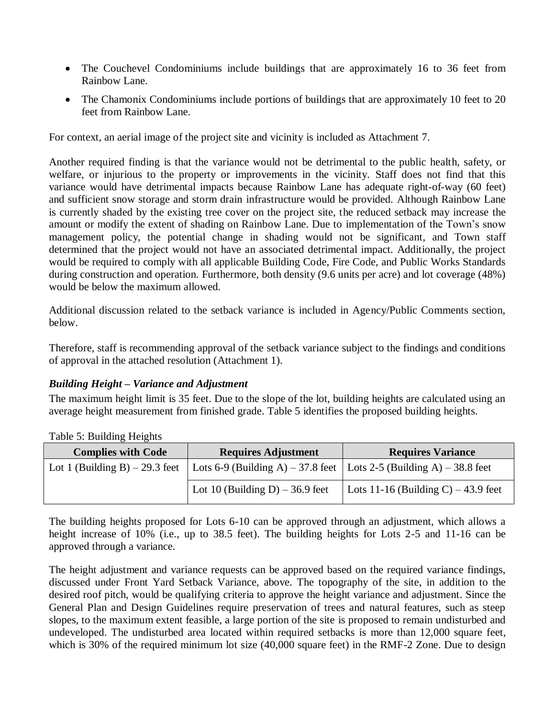- The Couchevel Condominiums include buildings that are approximately 16 to 36 feet from Rainbow Lane.
- The Chamonix Condominiums include portions of buildings that are approximately 10 feet to 20 feet from Rainbow Lane.

For context, an aerial image of the project site and vicinity is included as Attachment 7.

Another required finding is that the variance would not be detrimental to the public health, safety, or welfare, or injurious to the property or improvements in the vicinity. Staff does not find that this variance would have detrimental impacts because Rainbow Lane has adequate right-of-way (60 feet) and sufficient snow storage and storm drain infrastructure would be provided. Although Rainbow Lane is currently shaded by the existing tree cover on the project site, the reduced setback may increase the amount or modify the extent of shading on Rainbow Lane. Due to implementation of the Town's snow management policy, the potential change in shading would not be significant, and Town staff determined that the project would not have an associated detrimental impact*.* Additionally, the project would be required to comply with all applicable Building Code, Fire Code, and Public Works Standards during construction and operation. Furthermore, both density (9.6 units per acre) and lot coverage (48%) would be below the maximum allowed.

Additional discussion related to the setback variance is included in Agency/Public Comments section, below.

Therefore, staff is recommending approval of the setback variance subject to the findings and conditions of approval in the attached resolution (Attachment 1).

# *Building Height – Variance and Adjustment*

The maximum height limit is 35 feet. Due to the slope of the lot, building heights are calculated using an average height measurement from finished grade. Table 5 identifies the proposed building heights.

| <b>Complies with Code</b>       | <b>Requires Adjustment</b>                                            | <b>Requires Variance</b>             |  |
|---------------------------------|-----------------------------------------------------------------------|--------------------------------------|--|
| Lot 1 (Building B) $-29.3$ feet | Lots 6-9 (Building A) – 37.8 feet   Lots 2-5 (Building A) – 38.8 feet |                                      |  |
|                                 | Lot 10 (Building D) $-36.9$ feet                                      | Lots 11-16 (Building C) $-43.9$ feet |  |

Table 5: Building Heights

The building heights proposed for Lots 6-10 can be approved through an adjustment, which allows a height increase of 10% (i.e., up to 38.5 feet). The building heights for Lots 2-5 and 11-16 can be approved through a variance.

The height adjustment and variance requests can be approved based on the required variance findings, discussed under Front Yard Setback Variance, above. The topography of the site, in addition to the desired roof pitch, would be qualifying criteria to approve the height variance and adjustment. Since the General Plan and Design Guidelines require preservation of trees and natural features, such as steep slopes, to the maximum extent feasible, a large portion of the site is proposed to remain undisturbed and undeveloped. The undisturbed area located within required setbacks is more than 12,000 square feet, which is 30% of the required minimum lot size (40,000 square feet) in the RMF-2 Zone. Due to design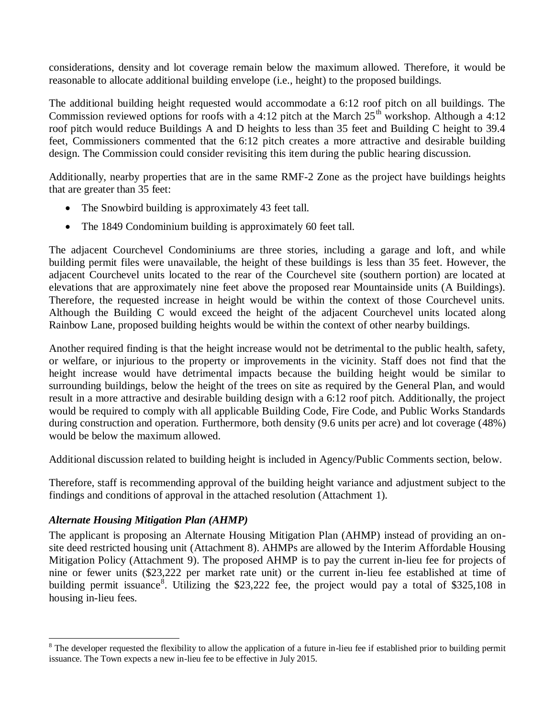considerations, density and lot coverage remain below the maximum allowed. Therefore, it would be reasonable to allocate additional building envelope (i.e., height) to the proposed buildings.

The additional building height requested would accommodate a 6:12 roof pitch on all buildings. The Commission reviewed options for roofs with a 4:12 pitch at the March  $25<sup>th</sup>$  workshop. Although a 4:12 roof pitch would reduce Buildings A and D heights to less than 35 feet and Building C height to 39.4 feet, Commissioners commented that the 6:12 pitch creates a more attractive and desirable building design. The Commission could consider revisiting this item during the public hearing discussion.

Additionally, nearby properties that are in the same RMF-2 Zone as the project have buildings heights that are greater than 35 feet:

- The Snowbird building is approximately 43 feet tall.
- The 1849 Condominium building is approximately 60 feet tall.

The adjacent Courchevel Condominiums are three stories, including a garage and loft, and while building permit files were unavailable, the height of these buildings is less than 35 feet. However, the adjacent Courchevel units located to the rear of the Courchevel site (southern portion) are located at elevations that are approximately nine feet above the proposed rear Mountainside units (A Buildings). Therefore, the requested increase in height would be within the context of those Courchevel units. Although the Building C would exceed the height of the adjacent Courchevel units located along Rainbow Lane, proposed building heights would be within the context of other nearby buildings.

Another required finding is that the height increase would not be detrimental to the public health, safety, or welfare, or injurious to the property or improvements in the vicinity. Staff does not find that the height increase would have detrimental impacts because the building height would be similar to surrounding buildings, below the height of the trees on site as required by the General Plan, and would result in a more attractive and desirable building design with a 6:12 roof pitch. Additionally, the project would be required to comply with all applicable Building Code, Fire Code, and Public Works Standards during construction and operation. Furthermore, both density (9.6 units per acre) and lot coverage (48%) would be below the maximum allowed.

Additional discussion related to building height is included in Agency/Public Comments section, below.

Therefore, staff is recommending approval of the building height variance and adjustment subject to the findings and conditions of approval in the attached resolution (Attachment 1).

# *Alternate Housing Mitigation Plan (AHMP)*

 $\overline{a}$ 

The applicant is proposing an Alternate Housing Mitigation Plan (AHMP) instead of providing an onsite deed restricted housing unit (Attachment 8). AHMPs are allowed by the Interim Affordable Housing Mitigation Policy (Attachment 9). The proposed AHMP is to pay the current in-lieu fee for projects of nine or fewer units (\$23,222 per market rate unit) or the current in-lieu fee established at time of building permit issuance<sup>8</sup>. Utilizing the \$23,222 fee, the project would pay a total of \$325,108 in housing in-lieu fees.

 $8$  The developer requested the flexibility to allow the application of a future in-lieu fee if established prior to building permit issuance. The Town expects a new in-lieu fee to be effective in July 2015.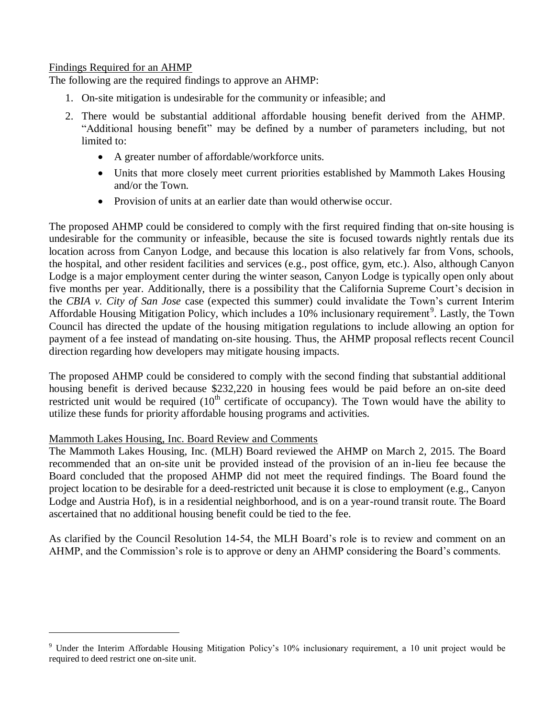#### Findings Required for an AHMP

The following are the required findings to approve an AHMP:

- 1. On-site mitigation is undesirable for the community or infeasible; and
- 2. There would be substantial additional affordable housing benefit derived from the AHMP. "Additional housing benefit" may be defined by a number of parameters including, but not limited to:
	- A greater number of affordable/workforce units.
	- Units that more closely meet current priorities established by Mammoth Lakes Housing and/or the Town.
	- Provision of units at an earlier date than would otherwise occur.

The proposed AHMP could be considered to comply with the first required finding that on-site housing is undesirable for the community or infeasible, because the site is focused towards nightly rentals due its location across from Canyon Lodge, and because this location is also relatively far from Vons, schools, the hospital, and other resident facilities and services (e.g., post office, gym, etc.). Also, although Canyon Lodge is a major employment center during the winter season, Canyon Lodge is typically open only about five months per year. Additionally, there is a possibility that the California Supreme Court's decision in the *CBIA v. City of San Jose* case (expected this summer) could invalidate the Town's current Interim Affordable Housing Mitigation Policy, which includes a 10% inclusionary requirement<sup>9</sup>. Lastly, the Town Council has directed the update of the housing mitigation regulations to include allowing an option for payment of a fee instead of mandating on-site housing. Thus, the AHMP proposal reflects recent Council direction regarding how developers may mitigate housing impacts.

The proposed AHMP could be considered to comply with the second finding that substantial additional housing benefit is derived because \$232,220 in housing fees would be paid before an on-site deed restricted unit would be required  $(10<sup>th</sup>$  certificate of occupancy). The Town would have the ability to utilize these funds for priority affordable housing programs and activities.

#### Mammoth Lakes Housing, Inc. Board Review and Comments

 $\overline{a}$ 

The Mammoth Lakes Housing, Inc. (MLH) Board reviewed the AHMP on March 2, 2015. The Board recommended that an on-site unit be provided instead of the provision of an in-lieu fee because the Board concluded that the proposed AHMP did not meet the required findings. The Board found the project location to be desirable for a deed-restricted unit because it is close to employment (e.g., Canyon Lodge and Austria Hof), is in a residential neighborhood, and is on a year-round transit route. The Board ascertained that no additional housing benefit could be tied to the fee.

As clarified by the Council Resolution 14-54, the MLH Board's role is to review and comment on an AHMP, and the Commission's role is to approve or deny an AHMP considering the Board's comments.

<sup>&</sup>lt;sup>9</sup> Under the Interim Affordable Housing Mitigation Policy's 10% inclusionary requirement, a 10 unit project would be required to deed restrict one on-site unit.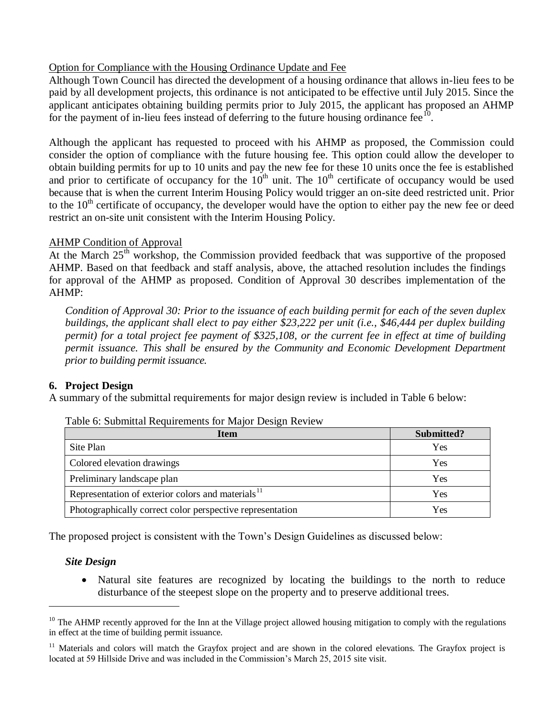#### Option for Compliance with the Housing Ordinance Update and Fee

Although Town Council has directed the development of a housing ordinance that allows in-lieu fees to be paid by all development projects, this ordinance is not anticipated to be effective until July 2015. Since the applicant anticipates obtaining building permits prior to July 2015, the applicant has proposed an AHMP for the payment of in-lieu fees instead of deferring to the future housing ordinance fee  $\overline{10}$ .

Although the applicant has requested to proceed with his AHMP as proposed, the Commission could consider the option of compliance with the future housing fee. This option could allow the developer to obtain building permits for up to 10 units and pay the new fee for these 10 units once the fee is established and prior to certificate of occupancy for the  $10<sup>th</sup>$  unit. The  $10<sup>th</sup>$  certificate of occupancy would be used because that is when the current Interim Housing Policy would trigger an on-site deed restricted unit. Prior to the  $10<sup>th</sup>$  certificate of occupancy, the developer would have the option to either pay the new fee or deed restrict an on-site unit consistent with the Interim Housing Policy.

#### AHMP Condition of Approval

At the March  $25<sup>th</sup>$  workshop, the Commission provided feedback that was supportive of the proposed AHMP. Based on that feedback and staff analysis, above, the attached resolution includes the findings for approval of the AHMP as proposed. Condition of Approval 30 describes implementation of the AHMP:

*Condition of Approval 30: Prior to the issuance of each building permit for each of the seven duplex buildings, the applicant shall elect to pay either \$23,222 per unit (i.e., \$46,444 per duplex building permit) for a total project fee payment of \$325,108, or the current fee in effect at time of building permit issuance. This shall be ensured by the Community and Economic Development Department prior to building permit issuance.*

# **6. Project Design**

A summary of the submittal requirements for major design review is included in Table 6 below:

| Item                                                          | Submitted? |
|---------------------------------------------------------------|------------|
| Site Plan                                                     | Yes        |
| Colored elevation drawings                                    | Yes        |
| Preliminary landscape plan                                    | Yes        |
| Representation of exterior colors and materials <sup>11</sup> | Yes        |
| Photographically correct color perspective representation     | Yes        |

|  | Table 6: Submittal Requirements for Major Design Review |  |  |
|--|---------------------------------------------------------|--|--|
|  |                                                         |  |  |

The proposed project is consistent with the Town's Design Guidelines as discussed below:

#### *Site Design*

 $\overline{a}$ 

 Natural site features are recognized by locating the buildings to the north to reduce disturbance of the steepest slope on the property and to preserve additional trees.

 $10$  The AHMP recently approved for the Inn at the Village project allowed housing mitigation to comply with the regulations in effect at the time of building permit issuance.

 $11$  Materials and colors will match the Grayfox project and are shown in the colored elevations. The Grayfox project is located at 59 Hillside Drive and was included in the Commission's March 25, 2015 site visit.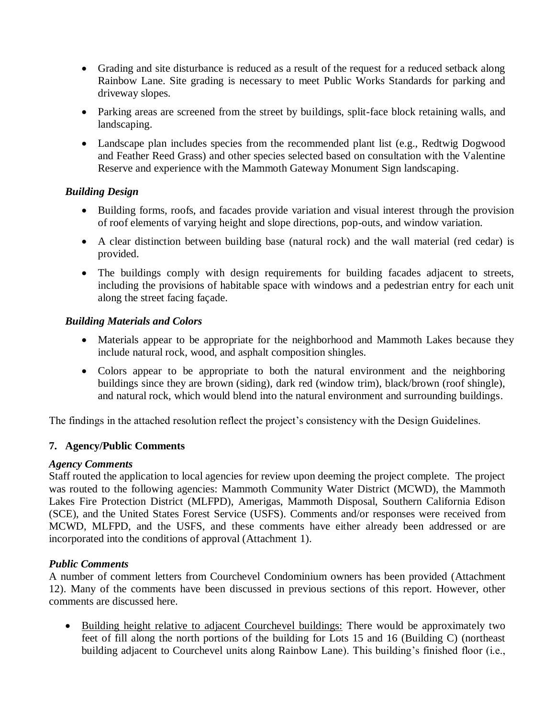- Grading and site disturbance is reduced as a result of the request for a reduced setback along Rainbow Lane. Site grading is necessary to meet Public Works Standards for parking and driveway slopes.
- Parking areas are screened from the street by buildings, split-face block retaining walls, and landscaping.
- Landscape plan includes species from the recommended plant list (e.g., Redtwig Dogwood and Feather Reed Grass) and other species selected based on consultation with the Valentine Reserve and experience with the Mammoth Gateway Monument Sign landscaping.

# *Building Design*

- Building forms, roofs, and facades provide variation and visual interest through the provision of roof elements of varying height and slope directions, pop-outs, and window variation.
- A clear distinction between building base (natural rock) and the wall material (red cedar) is provided.
- The buildings comply with design requirements for building facades adjacent to streets, including the provisions of habitable space with windows and a pedestrian entry for each unit along the street facing façade.

# *Building Materials and Colors*

- Materials appear to be appropriate for the neighborhood and Mammoth Lakes because they include natural rock, wood, and asphalt composition shingles.
- Colors appear to be appropriate to both the natural environment and the neighboring buildings since they are brown (siding), dark red (window trim), black/brown (roof shingle), and natural rock, which would blend into the natural environment and surrounding buildings.

The findings in the attached resolution reflect the project's consistency with the Design Guidelines.

# **7. Agency/Public Comments**

# *Agency Comments*

Staff routed the application to local agencies for review upon deeming the project complete. The project was routed to the following agencies: Mammoth Community Water District (MCWD), the Mammoth Lakes Fire Protection District (MLFPD), Amerigas, Mammoth Disposal, Southern California Edison (SCE), and the United States Forest Service (USFS). Comments and/or responses were received from MCWD, MLFPD, and the USFS, and these comments have either already been addressed or are incorporated into the conditions of approval (Attachment 1).

# *Public Comments*

A number of comment letters from Courchevel Condominium owners has been provided (Attachment 12). Many of the comments have been discussed in previous sections of this report. However, other comments are discussed here.

• Building height relative to adjacent Courchevel buildings: There would be approximately two feet of fill along the north portions of the building for Lots 15 and 16 (Building C) (northeast building adjacent to Courchevel units along Rainbow Lane). This building's finished floor (i.e.,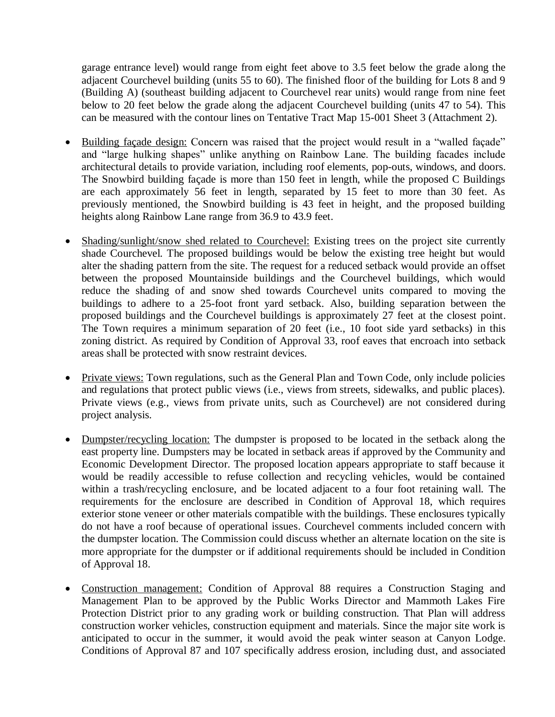garage entrance level) would range from eight feet above to 3.5 feet below the grade along the adjacent Courchevel building (units 55 to 60). The finished floor of the building for Lots 8 and 9 (Building A) (southeast building adjacent to Courchevel rear units) would range from nine feet below to 20 feet below the grade along the adjacent Courchevel building (units 47 to 54). This can be measured with the contour lines on Tentative Tract Map 15-001 Sheet 3 (Attachment 2).

- Building façade design: Concern was raised that the project would result in a "walled façade" and "large hulking shapes" unlike anything on Rainbow Lane. The building facades include architectural details to provide variation, including roof elements, pop-outs, windows, and doors. The Snowbird building façade is more than 150 feet in length, while the proposed C Buildings are each approximately 56 feet in length, separated by 15 feet to more than 30 feet. As previously mentioned, the Snowbird building is 43 feet in height, and the proposed building heights along Rainbow Lane range from 36.9 to 43.9 feet.
- Shading/sunlight/snow shed related to Courchevel: Existing trees on the project site currently shade Courchevel. The proposed buildings would be below the existing tree height but would alter the shading pattern from the site. The request for a reduced setback would provide an offset between the proposed Mountainside buildings and the Courchevel buildings, which would reduce the shading of and snow shed towards Courchevel units compared to moving the buildings to adhere to a 25-foot front yard setback. Also, building separation between the proposed buildings and the Courchevel buildings is approximately 27 feet at the closest point. The Town requires a minimum separation of 20 feet (i.e., 10 foot side yard setbacks) in this zoning district. As required by Condition of Approval 33, roof eaves that encroach into setback areas shall be protected with snow restraint devices.
- Private views: Town regulations, such as the General Plan and Town Code, only include policies and regulations that protect public views (i.e., views from streets, sidewalks, and public places). Private views (e.g., views from private units, such as Courchevel) are not considered during project analysis.
- Dumpster/recycling location: The dumpster is proposed to be located in the setback along the east property line. Dumpsters may be located in setback areas if approved by the Community and Economic Development Director. The proposed location appears appropriate to staff because it would be readily accessible to refuse collection and recycling vehicles, would be contained within a trash/recycling enclosure, and be located adjacent to a four foot retaining wall. The requirements for the enclosure are described in Condition of Approval 18, which requires exterior stone veneer or other materials compatible with the buildings. These enclosures typically do not have a roof because of operational issues. Courchevel comments included concern with the dumpster location. The Commission could discuss whether an alternate location on the site is more appropriate for the dumpster or if additional requirements should be included in Condition of Approval 18.
- Construction management: Condition of Approval 88 requires a Construction Staging and Management Plan to be approved by the Public Works Director and Mammoth Lakes Fire Protection District prior to any grading work or building construction. That Plan will address construction worker vehicles, construction equipment and materials. Since the major site work is anticipated to occur in the summer, it would avoid the peak winter season at Canyon Lodge. Conditions of Approval 87 and 107 specifically address erosion, including dust, and associated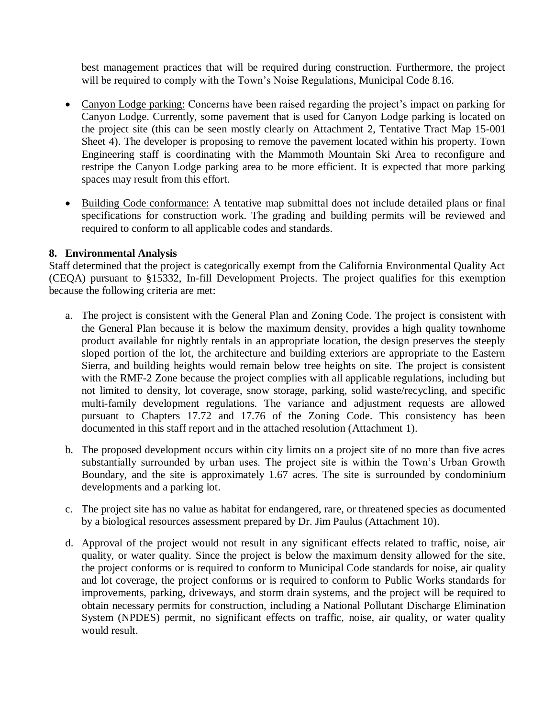best management practices that will be required during construction. Furthermore, the project will be required to comply with the Town's Noise Regulations, Municipal Code 8.16.

- Canyon Lodge parking: Concerns have been raised regarding the project's impact on parking for Canyon Lodge. Currently, some pavement that is used for Canyon Lodge parking is located on the project site (this can be seen mostly clearly on Attachment 2, Tentative Tract Map 15-001 Sheet 4). The developer is proposing to remove the pavement located within his property. Town Engineering staff is coordinating with the Mammoth Mountain Ski Area to reconfigure and restripe the Canyon Lodge parking area to be more efficient. It is expected that more parking spaces may result from this effort.
- Building Code conformance: A tentative map submittal does not include detailed plans or final specifications for construction work. The grading and building permits will be reviewed and required to conform to all applicable codes and standards.

#### **8. Environmental Analysis**

Staff determined that the project is categorically exempt from the California Environmental Quality Act (CEQA) pursuant to §15332, In-fill Development Projects. The project qualifies for this exemption because the following criteria are met:

- a. The project is consistent with the General Plan and Zoning Code. The project is consistent with the General Plan because it is below the maximum density, provides a high quality townhome product available for nightly rentals in an appropriate location, the design preserves the steeply sloped portion of the lot, the architecture and building exteriors are appropriate to the Eastern Sierra, and building heights would remain below tree heights on site. The project is consistent with the RMF-2 Zone because the project complies with all applicable regulations, including but not limited to density, lot coverage, snow storage, parking, solid waste/recycling, and specific multi-family development regulations. The variance and adjustment requests are allowed pursuant to Chapters 17.72 and 17.76 of the Zoning Code. This consistency has been documented in this staff report and in the attached resolution (Attachment 1).
- b. The proposed development occurs within city limits on a project site of no more than five acres substantially surrounded by urban uses. The project site is within the Town's Urban Growth Boundary, and the site is approximately 1.67 acres. The site is surrounded by condominium developments and a parking lot.
- c. The project site has no value as habitat for endangered, rare, or threatened species as documented by a biological resources assessment prepared by Dr. Jim Paulus (Attachment 10).
- d. Approval of the project would not result in any significant effects related to traffic, noise, air quality, or water quality. Since the project is below the maximum density allowed for the site, the project conforms or is required to conform to Municipal Code standards for noise, air quality and lot coverage, the project conforms or is required to conform to Public Works standards for improvements, parking, driveways, and storm drain systems, and the project will be required to obtain necessary permits for construction, including a National Pollutant Discharge Elimination System (NPDES) permit, no significant effects on traffic, noise, air quality, or water quality would result.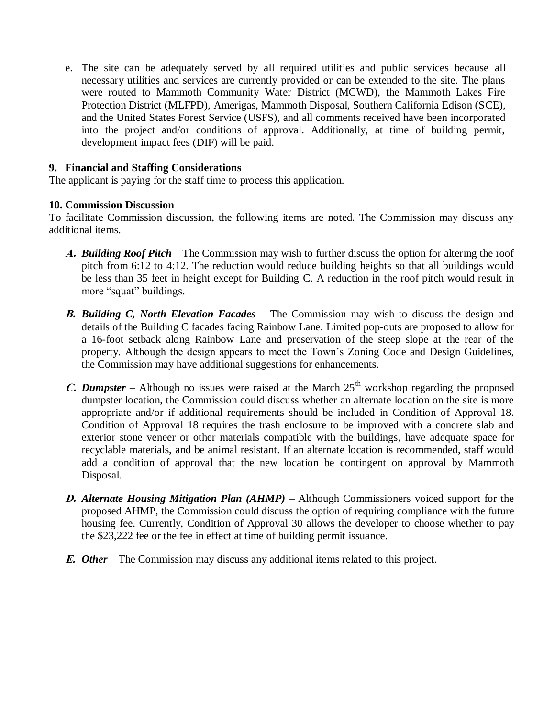e. The site can be adequately served by all required utilities and public services because all necessary utilities and services are currently provided or can be extended to the site. The plans were routed to Mammoth Community Water District (MCWD), the Mammoth Lakes Fire Protection District (MLFPD), Amerigas, Mammoth Disposal, Southern California Edison (SCE), and the United States Forest Service (USFS), and all comments received have been incorporated into the project and/or conditions of approval. Additionally, at time of building permit, development impact fees (DIF) will be paid.

#### **9. Financial and Staffing Considerations**

The applicant is paying for the staff time to process this application.

#### **10. Commission Discussion**

To facilitate Commission discussion, the following items are noted. The Commission may discuss any additional items.

- **A.** *Building Roof Pitch* The Commission may wish to further discuss the option for altering the roof pitch from 6:12 to 4:12. The reduction would reduce building heights so that all buildings would be less than 35 feet in height except for Building C. A reduction in the roof pitch would result in more "squat" buildings.
- **B.** *Building C, North Elevation Facades* The Commission may wish to discuss the design and details of the Building C facades facing Rainbow Lane. Limited pop-outs are proposed to allow for a 16-foot setback along Rainbow Lane and preservation of the steep slope at the rear of the property. Although the design appears to meet the Town's Zoning Code and Design Guidelines, the Commission may have additional suggestions for enhancements.
- **C.** Dumpster Although no issues were raised at the March  $25<sup>th</sup>$  workshop regarding the proposed dumpster location, the Commission could discuss whether an alternate location on the site is more appropriate and/or if additional requirements should be included in Condition of Approval 18. Condition of Approval 18 requires the trash enclosure to be improved with a concrete slab and exterior stone veneer or other materials compatible with the buildings, have adequate space for recyclable materials, and be animal resistant. If an alternate location is recommended, staff would add a condition of approval that the new location be contingent on approval by Mammoth Disposal.
- **D.** *Alternate Housing Mitigation Plan (AHMP)* Although Commissioners voiced support for the proposed AHMP, the Commission could discuss the option of requiring compliance with the future housing fee. Currently, Condition of Approval 30 allows the developer to choose whether to pay the \$23,222 fee or the fee in effect at time of building permit issuance.
- **E.** *Other*  The Commission may discuss any additional items related to this project.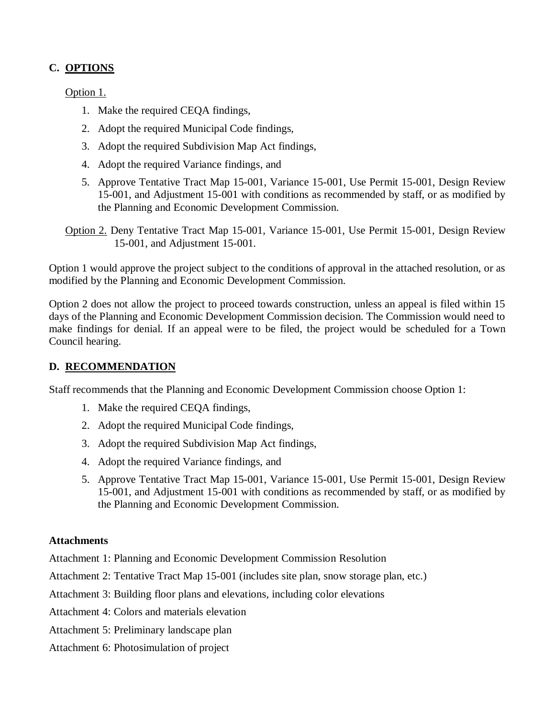# **C. OPTIONS**

Option 1.

- 1. Make the required CEQA findings,
- 2. Adopt the required Municipal Code findings,
- 3. Adopt the required Subdivision Map Act findings,
- 4. Adopt the required Variance findings, and
- 5. Approve Tentative Tract Map 15-001, Variance 15-001, Use Permit 15-001, Design Review 15-001, and Adjustment 15-001 with conditions as recommended by staff, or as modified by the Planning and Economic Development Commission.

Option 2. Deny Tentative Tract Map 15-001, Variance 15-001, Use Permit 15-001, Design Review 15-001, and Adjustment 15-001.

Option 1 would approve the project subject to the conditions of approval in the attached resolution, or as modified by the Planning and Economic Development Commission.

Option 2 does not allow the project to proceed towards construction, unless an appeal is filed within 15 days of the Planning and Economic Development Commission decision. The Commission would need to make findings for denial. If an appeal were to be filed, the project would be scheduled for a Town Council hearing.

# **D. RECOMMENDATION**

Staff recommends that the Planning and Economic Development Commission choose Option 1:

- 1. Make the required CEQA findings,
- 2. Adopt the required Municipal Code findings,
- 3. Adopt the required Subdivision Map Act findings,
- 4. Adopt the required Variance findings, and
- 5. Approve Tentative Tract Map 15-001, Variance 15-001, Use Permit 15-001, Design Review 15-001, and Adjustment 15-001 with conditions as recommended by staff, or as modified by the Planning and Economic Development Commission.

# **Attachments**

Attachment 1: Planning and Economic Development Commission Resolution

Attachment 2: Tentative Tract Map 15-001 (includes site plan, snow storage plan, etc.)

Attachment 3: Building floor plans and elevations, including color elevations

Attachment 4: Colors and materials elevation

- Attachment 5: Preliminary landscape plan
- Attachment 6: Photosimulation of project